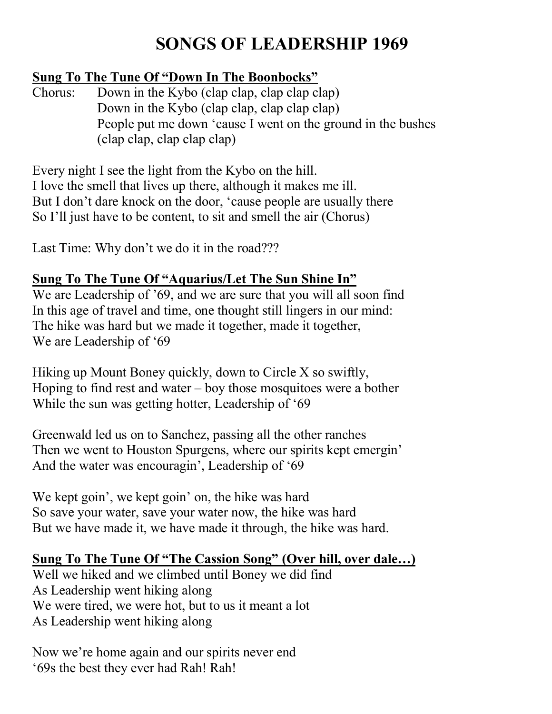# **SONGS OF LEADERSHIP 1969**

#### **Sung To The Tune Of "Down In The Boonbocks"**

Chorus: Down in the Kybo (clap clap, clap clap clap) Down in the Kybo (clap clap, clap clap clap) People put me down 'cause I went on the ground in the bushes (clap clap, clap clap clap)

Every night I see the light from the Kybo on the hill. I love the smell that lives up there, although it makes me ill. But I don't dare knock on the door, 'cause people are usually there So I'll just have to be content, to sit and smell the air (Chorus)

Last Time: Why don't we do it in the road???

## **Sung To The Tune Of "Aquarius/Let The Sun Shine In"**

We are Leadership of '69, and we are sure that you will all soon find In this age of travel and time, one thought still lingers in our mind: The hike was hard but we made it together, made it together, We are Leadership of '69

Hiking up Mount Boney quickly, down to Circle X so swiftly, Hoping to find rest and water – boy those mosquitoes were a bother While the sun was getting hotter, Leadership of '69

Greenwald led us on to Sanchez, passing all the other ranches Then we went to Houston Spurgens, where our spirits kept emergin' And the water was encouragin', Leadership of '69

We kept goin', we kept goin' on, the hike was hard So save your water, save your water now, the hike was hard But we have made it, we have made it through, the hike was hard.

## **Sung To The Tune Of "The Cassion Song" (Over hill, over dale…)**

Well we hiked and we climbed until Boney we did find As Leadership went hiking along We were tired, we were hot, but to us it meant a lot As Leadership went hiking along

Now we're home again and our spirits never end '69s the best they ever had Rah! Rah!